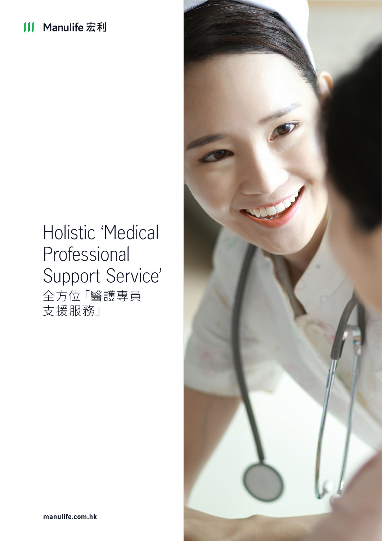# Holistic 'Medical Professional Support Service' 全方位「醫護專員 支援服務」

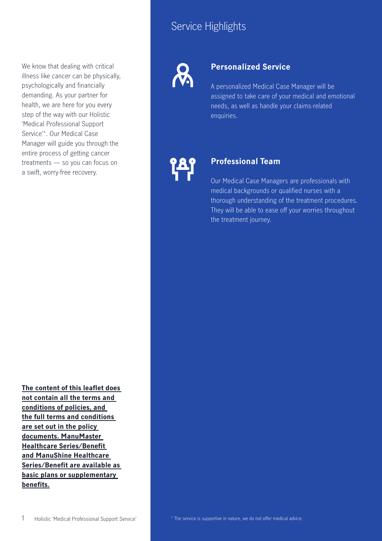## Service Highlights

We know that dealing with critical illness like cancer can be physically, psychologically and financially demanding. As your partner for health, we are here for you every step of the way with our Holistic 'Medical Professional Support Service'\*. Our Medical Case Manager will guide you through the entire process of getting cancer treatments — so you can focus on a swift, worry-free recovery.

**The content of this leaflet does not contain all the terms and conditions of policies, and the full terms and conditions are set out in the policy documents. ManuMaster Healthcare Series/Benefit and ManuShine Healthcare Series/Benefit are available as basic plans or supplementary benefits.**

### **Personalized Service**

A personalized Medical Case Manager will be assigned to take care of your medical and emotional needs, as well as handle your claims-related enquiries.

### **Professional Team**

Our Medical Case Managers are professionals with medical backgrounds or qualified nurses with a thorough understanding of the treatment procedures. They will be able to ease off your worries throughout the treatment journey.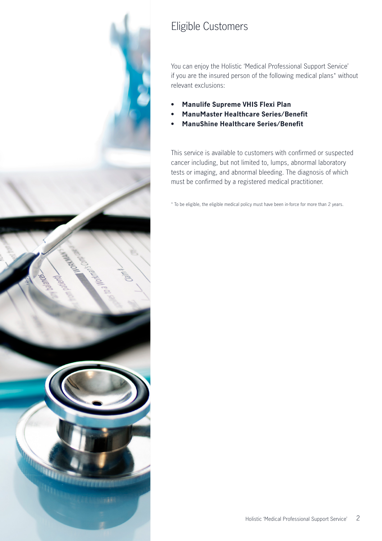

## Eligible Customers

You can enjoy the Holistic 'Medical Professional Support Service' if you are the insured person of the following medical plans\* without relevant exclusions:

- **• Manulife Supreme VHIS Flexi Plan**
- **• ManuMaster Healthcare Series/Benefit**
- **• ManuShine Healthcare Series/Benefit**

This service is available to customers with confirmed or suspected cancer including, but not limited to, lumps, abnormal laboratory tests or imaging, and abnormal bleeding. The diagnosis of which must be confirmed by a registered medical practitioner.

\* To be eligible, the eligible medical policy must have been in-force for more than 2 years.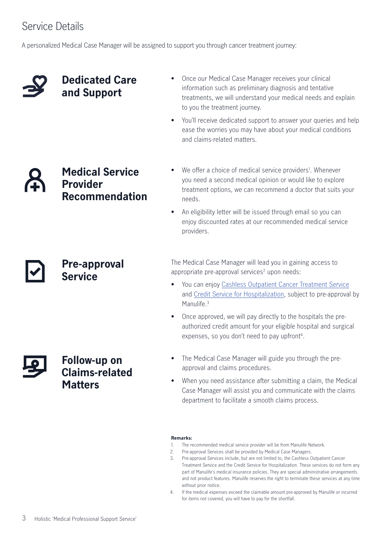## Service Details

A personalized Medical Case Manager will be assigned to support you through cancer treatment journey:

### **Dedicated Care and Support**

- Once our Medical Case Manager receives your clinical information such as preliminary diagnosis and tentative treatments, we will understand your medical needs and explain to you the treatment journey.
- You'll receive dedicated support to answer your queries and help ease the worries you may have about your medical conditions and claims-related matters.

### **Medical Service Provider Recommendation**

**Pre-approval** 

**Service**

- We offer a choice of medical service providers<sup>1</sup>. Whenever you need a second medical opinion or would like to explore treatment options, we can recommend a doctor that suits your needs.
- An eligibility letter will be issued through email so you can enjoy discounted rates at our recommended medical service providers.

The Medical Case Manager will lead you in gaining access to appropriate pre-approval services<sup>2</sup> upon needs:

- You can enjoy [Cashless Outpatient Cancer Treatment Service](https://www.manulife.com.hk/en/individual/services/pre-assessment-and-cashless-service/outpatient-cancer-treatment.html) and [Credit Service for Hospitalization,](https://www.manulife.com.hk/en/individual/services/pre-assessment-and-cashless-service/credit-service-for-hospitalization.html) subject to pre-approval by Manulife.<sup>3</sup>
- Once approved, we will pay directly to the hospitals the preauthorized credit amount for your eligible hospital and surgical expenses, so you don't need to pay upfront<sup>4</sup>.
- The Medical Case Manager will guide you through the preapproval and claims procedures.
- When you need assistance after submitting a claim, the Medical Case Manager will assist you and communicate with the claims department to facilitate a smooth claims process.

### **Remarks:**

- 1. The recommended medical service provider will be from Manulife Network.
- 2. Pre-approval Services shall be provided by Medical Case Managers.
- 3. Pre-approval Services include, but are not limited to, the Cashless Outpatient Cancer Treatment Service and the Credit Service for Hospitalization. These services do not form any part of Manulife's medical insurance policies. They are special administrative arrangements and not product features. Manulife reserves the right to terminate these services at any time without prior notice.
- 4. If the medical expenses exceed the claimable amount pre-approved by Manulife or incurred for items not covered, you will have to pay for the shortfall.

### **Follow-up on Claims-related Matters**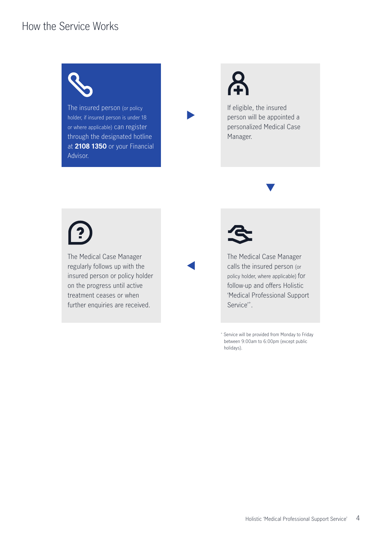### How the Service Works



The insured person (or policy holder, if insured person is under 18 or where applicable) can register through the designated hotline at **2108 1350** or your Financial Advisor.

If eligible, the insured person will be appointed a personalized Medical Case Manager.

The Medical Case Manager regularly follows up with the insured person or policy holder on the progress until active treatment ceases or when further enquiries are received.



The Medical Case Manager calls the insured person (or policy holder, where applicable) for follow-up and offers Holistic 'Medical Professional Support Service'<sup>+</sup>.

+ Service will be provided from Monday to Friday between 9:00am to 6:00pm (except public holidays).